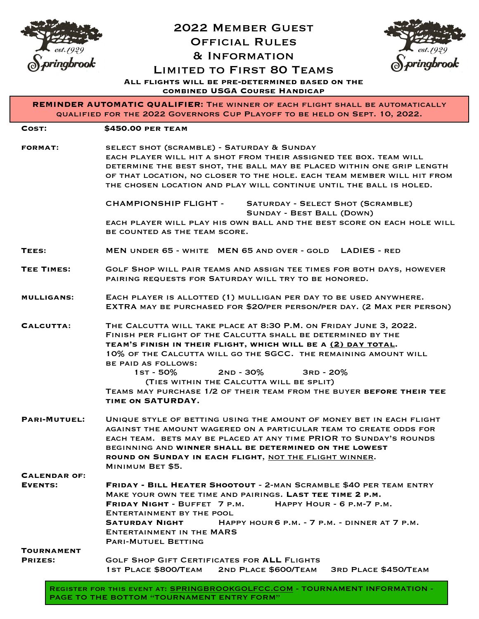

## 2022 Member Guest Official Rules & Information Limited to First 80 Teams



**All flights will be pre-determined based on the combined USGA Course Handicap**

**REMINDER AUTOMATIC QUALIFIER:** The winner of each flight shall be automatically qualified for the 2022 Governors Cup Playoff to be held on Sept. 10, 2022.

| COST:                                 | <b>\$450.00 PER TEAM</b>                                                                                                                                                                                                                                                                                                                                                                                                                                                              |
|---------------------------------------|---------------------------------------------------------------------------------------------------------------------------------------------------------------------------------------------------------------------------------------------------------------------------------------------------------------------------------------------------------------------------------------------------------------------------------------------------------------------------------------|
| <b>FORMAT:</b>                        | SELECT SHOT (SCRAMBLE) - SATURDAY & SUNDAY<br>EACH PLAYER WILL HIT A SHOT FROM THEIR ASSIGNED TEE BOX. TEAM WILL<br>DETERMINE THE BEST SHOT, THE BALL MAY BE PLACED WITHIN ONE GRIP LENGTH<br>OF THAT LOCATION, NO CLOSER TO THE HOLE. EACH TEAM MEMBER WILL HIT FROM<br>THE CHOSEN LOCATION AND PLAY WILL CONTINUE UNTIL THE BALL IS HOLED.                                                                                                                                          |
|                                       | CHAMPIONSHIP FLIGHT - SATURDAY - SELECT SHOT (SCRAMBLE)<br><b>SUNDAY - BEST BALL (DOWN)</b><br>EACH PLAYER WILL PLAY HIS OWN BALL AND THE BEST SCORE ON EACH HOLE WILL                                                                                                                                                                                                                                                                                                                |
|                                       | BE COUNTED AS THE TEAM SCORE.                                                                                                                                                                                                                                                                                                                                                                                                                                                         |
| TEES:                                 | MEN UNDER 65 - WHITE MEN 65 AND OVER - GOLD LADIES - RED                                                                                                                                                                                                                                                                                                                                                                                                                              |
| <b>TEE TIMES:</b>                     | GOLF SHOP WILL PAIR TEAMS AND ASSIGN TEE TIMES FOR BOTH DAYS, HOWEVER<br>PAIRING REQUESTS FOR SATURDAY WILL TRY TO BE HONORED.                                                                                                                                                                                                                                                                                                                                                        |
| <b>MULLIGANS:</b>                     | EACH PLAYER IS ALLOTTED (1) MULLIGAN PER DAY TO BE USED ANYWHERE.<br>EXTRA MAY BE PURCHASED FOR \$20/PER PERSON/PER DAY. (2 MAX PER PERSON)                                                                                                                                                                                                                                                                                                                                           |
| CALCUTTA:                             | THE CALCUTTA WILL TAKE PLACE AT 8:30 P.M. ON FRIDAY JUNE 3, 2022.<br>FINISH PER FLIGHT OF THE CALCUTTA SHALL BE DETERMINED BY THE<br>TEAM'S FINISH IN THEIR FLIGHT, WHICH WILL BE A (2) DAY TOTAL.<br>10% OF THE CALCUTTA WILL GO THE SGCC. THE REMAINING AMOUNT WILL<br><b>BE PAID AS FOLLOWS:</b><br>$1ST - 50%$<br>2ND - 30%    3RD - 20%<br>(TIES WITHIN THE CALCUTTA WILL BE SPLIT)<br>TEAMS MAY PURCHASE 1/2 OF THEIR TEAM FROM THE BUYER BEFORE THEIR TEE<br>TIME ON SATURDAY. |
| <b>PARI-MUTUEL:</b>                   | UNIQUE STYLE OF BETTING USING THE AMOUNT OF MONEY BET IN EACH FLIGHT<br>AGAINST THE AMOUNT WAGERED ON A PARTICULAR TEAM TO CREATE ODDS FOR<br>EACH TEAM. BETS MAY BE PLACED AT ANY TIME PRIOR TO SUNDAY'S ROUNDS<br>BEGINNING AND WINNER SHALL BE DETERMINED ON THE LOWEST<br>ROUND ON SUNDAY IN EACH FLIGHT, NOT THE FLIGHT WINNER.<br>MINIMUM BET \$5.                                                                                                                              |
| <b>CALENDAR OF:</b><br><b>EVENTS:</b> | <b>FRIDAY - BILL HEATER SHOOTOUT - 2-MAN SCRAMBLE \$40 PER TEAM ENTRY</b><br>MAKE YOUR OWN TEE TIME AND PAIRINGS. LAST TEE TIME 2 P.M.<br>FRIDAY NIGHT - BUFFET 7 P.M.<br>HAPPY HOUR - 6 P.M-7 P.M.<br>ENTERTAINMENT BY THE POOL<br>HAPPY HOUR 6 P.M. - 7 P.M. - DINNER AT 7 P.M.<br><b>SATURDAY NIGHT</b><br><b>ENTERTAINMENT IN THE MARS</b><br><b>PARI-MUTUEL BETTING</b>                                                                                                          |
| TOURNAMENT<br><b>PRIZES:</b>          | <b>GOLF SHOP GIFT CERTIFICATES FOR ALL FLIGHTS</b><br><b>1ST PLACE \$800/TEAM</b><br>2ND PLACE \$600/TEAM<br><b>3RD PLACE \$450/TEAM</b>                                                                                                                                                                                                                                                                                                                                              |

REGISTER FOR THIS EVENT AT: [SPRINGBROOKGOLFCC.COM](http://SPRINGBROOKGOLFCC.COM) - TOURNAMENT INFORMATION -PAGE TO THE BOTTOM "TOURNAMENT ENTRY FORM"